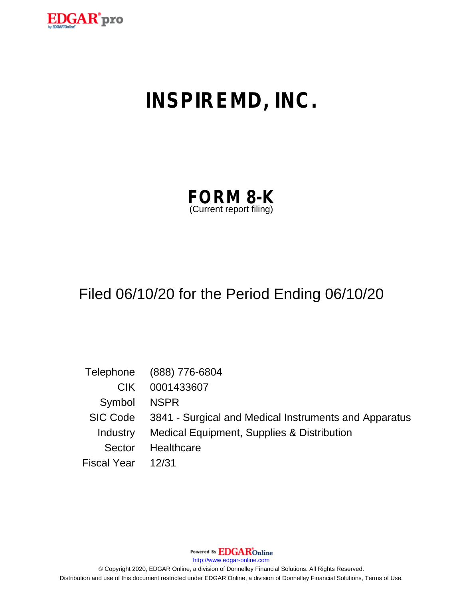

# **INSPIREMD, INC.**

| <b>FORM 8-K</b>         |  |
|-------------------------|--|
| (Current report filing) |  |

## Filed 06/10/20 for the Period Ending 06/10/20

|                    | Telephone (888) 776-6804                                       |
|--------------------|----------------------------------------------------------------|
| CIK.               | 0001433607                                                     |
| Symbol NSPR        |                                                                |
|                    | SIC Code 3841 - Surgical and Medical Instruments and Apparatus |
| Industry           | Medical Equipment, Supplies & Distribution                     |
| Sector             | Healthcare                                                     |
| Fiscal Year  12/31 |                                                                |

Powered By **EDGAR**Online

http://www.edgar-online.com

© Copyright 2020, EDGAR Online, a division of Donnelley Financial Solutions. All Rights Reserved. Distribution and use of this document restricted under EDGAR Online, a division of Donnelley Financial Solutions, Terms of Use.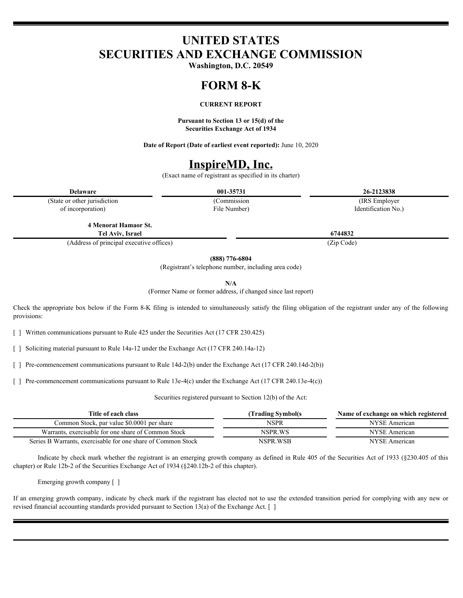### **UNITED STATES SECURITIES AND EXCHANGE COMMISSION**

**Washington, D.C. 20549**

#### **FORM 8-K**

#### **CURRENT REPORT**

**Pursuant to Section 13 or 15(d) of the Securities Exchange Act of 1934**

**Date of Report (Date of earliest event reported):** June 10, 2020

### **InspireMD, Inc.**

(Exact name of registrant as specified in its charter)

**Delaware 001-35731 26-2123838**

(State or other jurisdiction of incorporation)

File Number)

(Commission (IRS Employer Identification No.)

**4 Menorat Hamaor St. Tel Aviv, Israel 6744832**

(Address of principal executive offices) (Zip Code)

**(888) 776-6804**

(Registrant's telephone number, including area code)

**N/A**

(Former Name or former address, if changed since last report)

Check the appropriate box below if the Form 8-K filing is intended to simultaneously satisfy the filing obligation of the registrant under any of the following provisions:

[ ] Written communications pursuant to Rule 425 under the Securities Act (17 CFR 230.425)

[ ] Soliciting material pursuant to Rule 14a-12 under the Exchange Act (17 CFR 240.14a-12)

[ ] Pre-commencement communications pursuant to Rule 14d-2(b) under the Exchange Act (17 CFR 240.14d-2(b))

[ ] Pre-commencement communications pursuant to Rule 13e-4(c) under the Exchange Act (17 CFR 240.13e-4(c))

Securities registered pursuant to Section 12(b) of the Act:

| Title of each class                                                         | Trading Symbol(s | Name of exchange on which registered |
|-----------------------------------------------------------------------------|------------------|--------------------------------------|
| Common Stock, par value \$0,0001 per share                                  | NSPR             | NYSE American                        |
| Warrants.<br>s, exercisable for one share of Common Stock                   | NSPR.WS          | <b>NYSE</b><br>American              |
| <b>B</b> Warrants.<br>Series L<br>exercisable for one share of Common Stock | NSPR.WSB         | NIVOE<br>YSE American                |

Indicate by check mark whether the registrant is an emerging growth company as defined in Rule 405 of the Securities Act of 1933 (§230.405 of this chapter) or Rule 12b-2 of the Securities Exchange Act of 1934 (§240.12b-2 of this chapter).

Emerging growth company [ ]

If an emerging growth company, indicate by check mark if the registrant has elected not to use the extended transition period for complying with any new or revised financial accounting standards provided pursuant to Section 13(a) of the Exchange Act. [ ]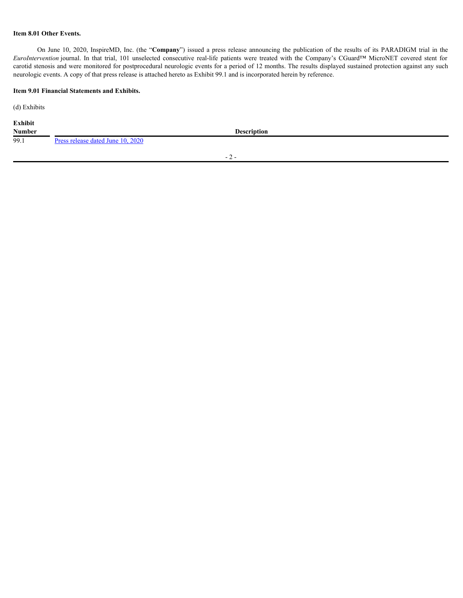#### **Item 8.01 Other Events.**

**On June 10, 2020, InspireMD, Inc. (the "Company") issued a press release announcing the publication of the results of its PARADIGM trial in the** *venetion* **journal. In that trial, 101 unselected consecutive real-life pat EURO JUME 10.** The UP 10.0200, InspireMD, Inc. (the "**Company**") issued a press release amouncing the publication of the results of its PARADIGM trial in the *EuroIntervention* journal. In that trial, 101 unselected conse carotid stenosis and were monitored for postprocedural neurologic events for a period of 12 months. The results displayed sustained protection against any such neurologic events. A copy of that press release is attached hereto as Exhibit 99.1 and is incorporated herein by reference.

#### **Item 9.01 Financial Statements and Exhibits.**

(d) Exhibits

| Exhibit       |                                   |                                       |  |
|---------------|-----------------------------------|---------------------------------------|--|
| <b>Number</b> |                                   | <b>Description</b>                    |  |
| 99.1          | Press release dated June 10, 2020 |                                       |  |
|               |                                   |                                       |  |
|               |                                   | $ \prime$<br>$\overline{\phantom{a}}$ |  |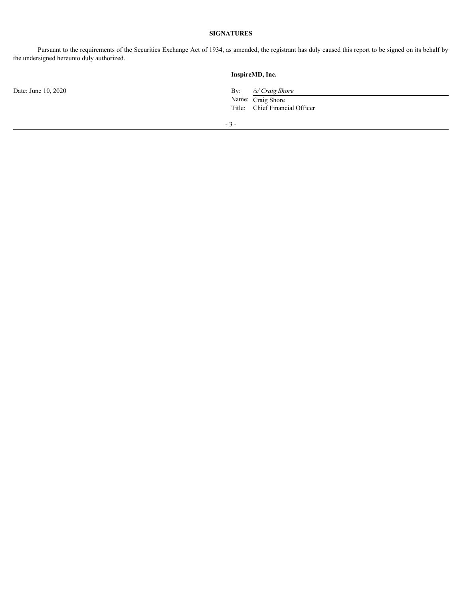### **SIGNATURES**

Pursuant to the requirements of the Securities Exchange Act of 1934, as amended, the registrant has duly caused this report to be signed on its behalf by the undersigned hereunto duly authorized.

|                     | InspireMD, Inc.                                                                          |
|---------------------|------------------------------------------------------------------------------------------|
| Date: June 10, 2020 | $\mathbf{By:}$<br>/s/ Craig Shore<br>Name: Craig Shore<br>Title: Chief Financial Officer |
|                     | $-3-$                                                                                    |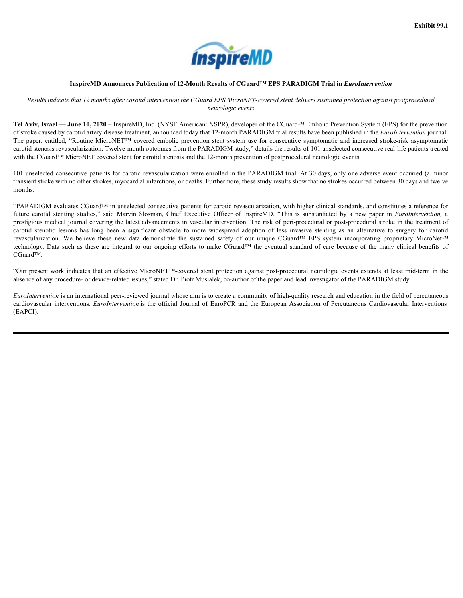

#### **InspireMD Announces Publication of 12-Month Results of CGuard™ EPS PARADIGM Trial in** *EuroIntervention*

Results indicate that 12 months after carotid intervention the CGuard EPS MicroNET-covered stent delivers sustained protection against postprocedural *neurologic events*

**Tel Aviv, Israel — June 10, 2020** – InspireMD, Inc. (NYSE American: NSPR), developer of the CGuard™ Embolic Prevention System (EPS) for the prevention of stroke caused by carotid artery disease treatment, announced today that 12-month PARADIGM trial results have been published in the *EuroIntervention* journal. **THE SPACE THE PAPER CONTROLL CONSECUTE:**<br> **The SERVICE AREADICAN Trial in** *EuroIntervention***<br>
Results indicate that 12 months after carotid intervention the CGuard<sup>TEM</sup> Explored area diviers austained protection against** carotid stenosis revascularization: Twelve-month outcomes from the PARADIGM study," details the results of 101 unselected consecutive real-life patients treated with the CGuard<sup>™</sup> MicroNET covered stent for carotid stenosis and the 12-month prevention of postprocedural neurologic events.

101 unselected consecutive patients for carotid revascularization were enrolled in the PARADIGM trial. At 30 days, only one adverse event occurred (a minor transient stroke with no other strokes, myocardial infarctions, or deaths. Furthermore, these study results show that no strokes occurred between 30 days and twelve months.

<span id="page-4-0"></span>"PARADIGM evaluates CGuard™ in unselected consecutive patients for carotid revascularization, with higher clinical standards, and constitutes a reference for **FASHIP 99.1**<br> **Example 2011**<br> **Example 2012**<br> **Example 2012 Anomatoes Publication of L2-Month Results of CGuard<sup>P34</sup> RPS PARADIGM Trial in** *Eurotherevention***<br>** *Results bullices but 12 monds after caronid intervention th*  a prestigious medical journal covering the latest advancements in vascular intervention. The risk of peri-procedural or post-procedural stroke in the treatment of carotic matrix  $\blacksquare$ <br>
Engine and the more car of the more car of the more carrotic lesions of  $\blacksquare$  (Sample Pack of Commerte Stens data invasive of the stendard or an experimental of Table Commercial and the more carrot **Exhibit 99.1**<br>
Results indicate that 2 a month of the control intervals of CGuard<sup>26</sup> PCN PARADIGM Trial in EuroPheterwation<br>
Tel. Aviv, Israel — Dane 10. Data of the control intervals intervals in CGuard<sup>26</sup> Methods Tec **Example the Constraine State of the COMP CONTROL**<br> **Example the constrained and the eventual intervalse are considered and the constrained and the eventual standard presentation<br>
of the eventual benefits of the constrain** CGuard™. Exhibit 99.1<br>
Engine WID Announce Publication of 12.Mooth of Claude Reache of Clium(199 EFS PARADICAT Trait is Eurodian content<br>
TRI ANN, Besties the control of the control of Clium (200 and the control of Clium Covered i **CAR CONTRIBY INTERVENTS AREAS CONTRIBUTES ARE CONSULATED AND AREAS CONTRIBUTES INTERVENTS ARE CONSULATED INTERVENTS ARE CONSULATED INTERVENTS ARE CONSULATED INTERVENTS ARE CONSULATED INTERVENTS ARE AN AREA (VALUE OF THE C** 

absence of any procedure- or device-related issues," stated Dr. Piotr Musialek, co-author of the paper and lead investigator of the PARADIGM study.

*EuroIntervention* is an international peer-reviewed journal whose aim is to create a community of high-quality research and education in the field of percutaneous (EAPCI).